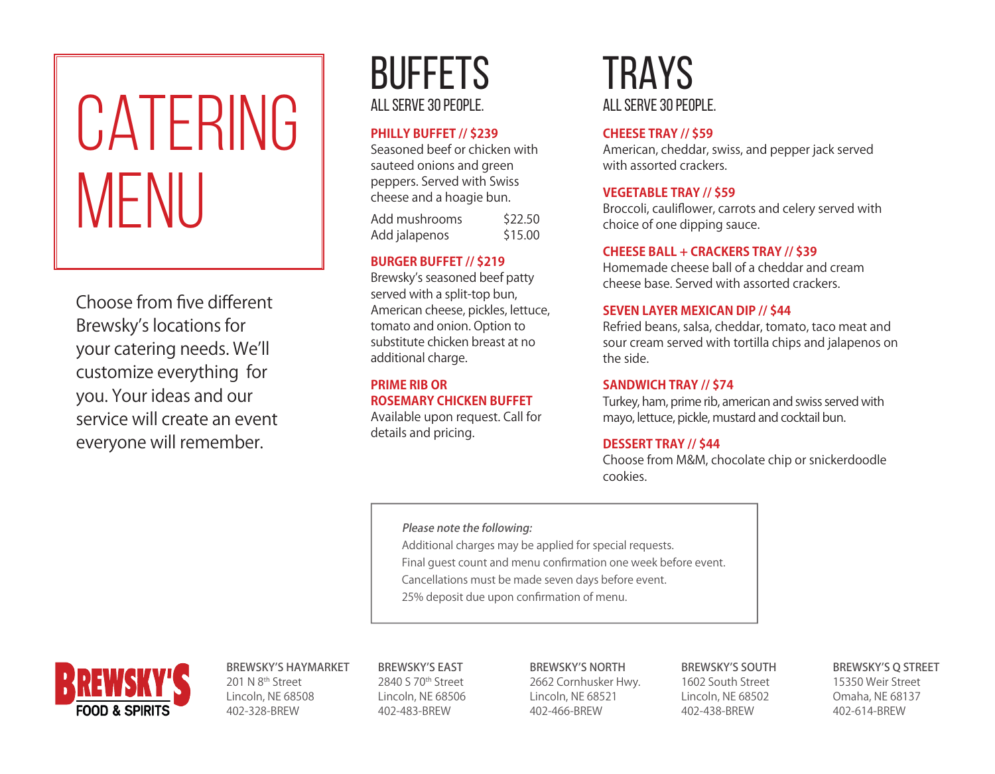# CATERING MFNU

Choose from five different Brewsky's locations for your catering needs. We'll customize everything for you. Your ideas and our service will create an event everyone will remember.

### BUFFETS ALL SERVE 30 PEOPLE.

#### **PHILLY BUFFET // \$239**

Seasoned beef or chicken with sauteed onions and green peppers. Served with Swiss cheese and a hoagie bun.

| Add mushrooms | \$22.50 |
|---------------|---------|
| Add jalapenos | \$15.00 |

#### **BURGER BUFFET // \$219**

Brewsky's seasoned beef patty served with a split-top bun, American cheese, pickles, lettuce, tomato and onion. Option to substitute chicken breast at no additional charge.

#### **PRIME RIB OR ROSEMARY CHICKEN BUFFET**

Available upon request. Call for details and pricing.

## TRAYS ALL SERVE 30 PEOPLE.

#### **CHEESE TRAY // \$59**

American, cheddar, swiss, and pepper jack served with assorted crackers.

#### **VEGETABLE TRAY // \$59**

Broccoli, cauliflower, carrots and celery served with choice of one dipping sauce.

#### **CHEESE BALL + CRACKERS TRAY // \$39**

Homemade cheese ball of a cheddar and cream cheese base. Served with assorted crackers.

#### **SEVEN LAYER MEXICAN DIP // \$44**

Refried beans, salsa, cheddar, tomato, taco meat and sour cream served with tortilla chips and jalapenos on the side.

#### **SANDWICH TRAY // \$74**

Turkey, ham, prime rib, american and swiss served with mayo, lettuce, pickle, mustard and cocktail bun.

#### **DESSERT TRAY // \$44**

Choose from M&M, chocolate chip or snickerdoodle cookies.

#### Please note the following:

Additional charges may be applied for special requests.

Final guest count and menu confirmation one week before event.

- Cancellations must be made seven days before event.
- 25% deposit due upon confirmation of menu.



#### BREWSKY'S HAYMARKET

201 N 8<sup>th</sup> Street Lincoln, NE 68508 402-328-BREW

BREWSKY'S EAST 2840 S 70th Street Lincoln, NE 68506 402-483-BREW

#### BREWSKY'S NORTH

2662 Cornhusker Hwy. Lincoln, NE 68521 402-466-BREW

#### BREWSKY'S SOUTH

1602 South Street Lincoln, NE 68502 402-438-BREW

#### BREWSKY'S Q STREET

15350 Weir Street Omaha, NE 68137 402-614-BREW